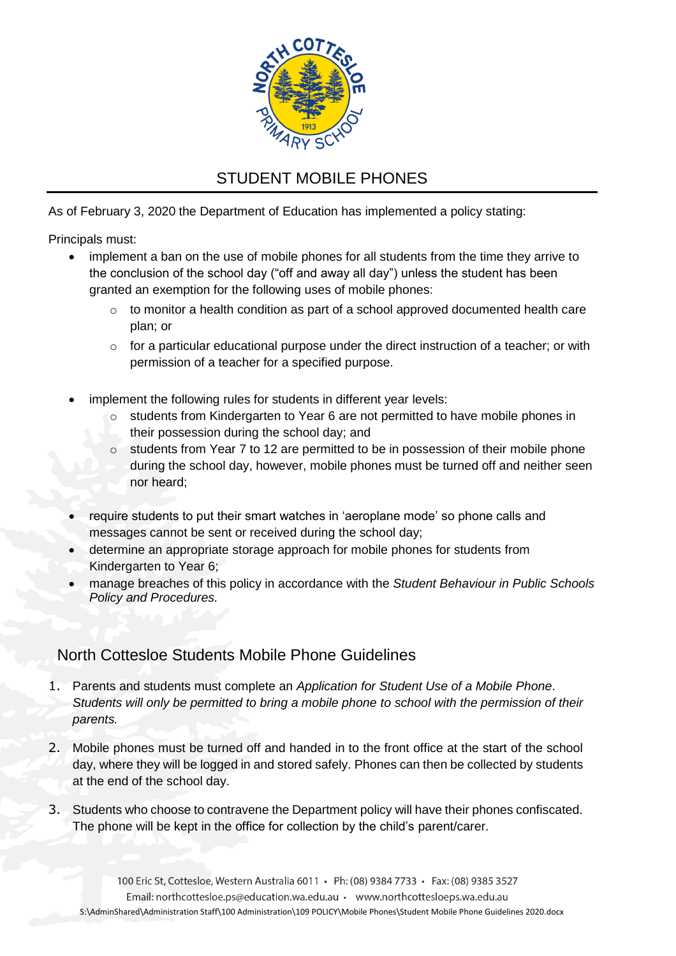

## STUDENT MOBILE PHONES

As of February 3, 2020 the Department of Education has implemented a policy stating:

Principals must:

- implement a ban on the use of mobile phones for all students from the time they arrive to the conclusion of the school day ("off and away all day") unless the student has been granted an exemption for the following uses of mobile phones:
	- $\circ$  to monitor a health condition as part of a school approved documented health care plan; or
	- $\circ$  for a particular educational purpose under the direct instruction of a teacher; or with permission of a teacher for a specified purpose.
- implement the following rules for students in different year levels:
	- o students from Kindergarten to Year 6 are not permitted to have mobile phones in their possession during the school day; and
	- $\circ$  students from Year 7 to 12 are permitted to be in possession of their mobile phone during the school day, however, mobile phones must be turned off and neither seen nor heard;
- require students to put their smart watches in 'aeroplane mode' so phone calls and messages cannot be sent or received during the school day;
- determine an appropriate storage approach for mobile phones for students from Kindergarten to Year 6;
- manage breaches of this policy in accordance with the *Student Behaviour in Public Schools Policy and Procedures.*

## North Cottesloe Students Mobile Phone Guidelines

- 1. Parents and students must complete an *Application for Student Use of a Mobile Phone*. *Students will only be permitted to bring a mobile phone to school with the permission of their parents.*
- 2. Mobile phones must be turned off and handed in to the front office at the start of the school day, where they will be logged in and stored safely. Phones can then be collected by students at the end of the school day.
- 3. Students who choose to contravene the Department policy will have their phones confiscated. The phone will be kept in the office for collection by the child's parent/carer.